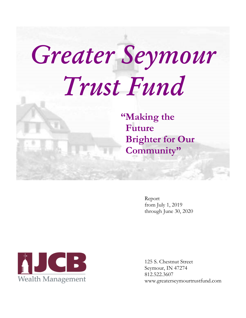# Greater Seymour Trust Fund

"Making the Future **Brighter for Our** Community"

> Report from July 1, 2019 through June 30, 2020



125 S. Chestnut Street Seymour, IN 47274 812.522.3607 www.greaterseymourtrustfund.com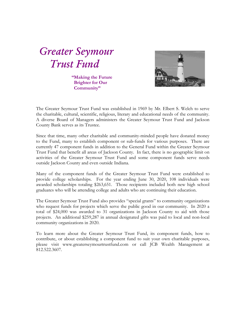Greater Seymour Trust Fund

"Making the Future Brighter for Our Community"



The Greater Seymour Trust Fund was established in 1969 by Mr. Elbert S. Welch to serve the charitable, cultural, scientific, religious, literary and educational needs of the community. A diverse Board of Managers administers the Greater Seymour Trust Fund and Jackson County Bank serves as its Trustee.

Since that time, many other charitable and community-minded people have donated money to the Fund, many to establish component or sub-funds for various purposes. There are currently 47 component funds in addition to the General Fund within the Greater Seymour Trust Fund that benefit all areas of Jackson County. In fact, there is no geographic limit on activities of the Greater Seymour Trust Fund and some component funds serve needs outside Jackson County and even outside Indiana.

Many of the component funds of the Greater Seymour Trust Fund were established to provide college scholarships. For the year ending June 30, 2020, 108 individuals were awarded scholarships totaling \$263,651. Those recipients included both new high school graduates who will be attending college and adults who are continuing their education.

The Greater Seymour Trust Fund also provides "special grants" to community organizations who request funds for projects which serve the public good in our community. In 2020 a total of \$24,000 was awarded to 31 organizations in Jackson County to aid with those projects. An additional \$259,287 in annual designated gifts was paid to local and non-local community organizations in 2020.

To learn more about the Greater Seymour Trust Fund, its component funds, how to contribute, or about establishing a component fund to suit your own charitable purposes, please visit www.greaterseymourtrustfund.com or call JCB Wealth Management at 812.522.3607.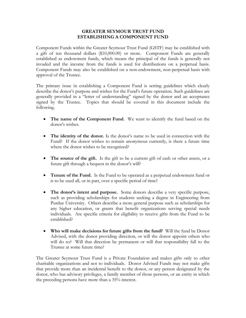### **GREATER SEYMOUR TRUST FUND ESTABLISHING A COMPONENT FUND**

Component Funds within the Greater Seymour Trust Fund (GSTF) may be established with a gift of ten thousand dollars (\$10,000.00) or more. Component Funds are generally established as endowment funds, which means the principal of the funds is generally not invaded and the income from the funds is used for distributions on a perpetual basis. Component Funds may also be established on a non-endowment, non-perpetual basis with approval of the Trustee.

The primary issue in establishing a Component Fund is setting guidelines which clearly describe the donor's purpose and wishes for the Fund's future operation. Such guidelines are generally provided in a "letter of understanding" signed by the donor and an acceptance signed by the Trustee. Topics that should be covered in this document include the following.

- **The name of the Component Fund**. We want to identify the fund based on the donor's wishes.
- **The identity of the donor.** Is the donor's name to be used in connection with the Fund? If the donor wishes to remain anonymous currently, is there a future time where the donor wishes to be recognized?
- The source of the gift. Is the gift to be a current gift of cash or other assets, or a future gift through a bequest in the donor's will?
- **Tenure of the Fund.** Is the Fund to be operated as a perpetual endowment fund or is to be used all, or in part, over a specific period of time?
- **The donor's intent and purpose.** Some donors describe a very specific purpose, such as providing scholarships for students seeking a degree in Engineering from Purdue University. Others describe a more general purpose such as scholarships for any higher education, or grants that benefit organizations serving special needs individuals. Are specific criteria for eligibility to receive gifts from the Fund to be established?
- **Who will make decisions for future gifts from the fund?** Will the fund be Donor Advised, with the donor providing direction, or will the donor appoint others who will do so? Will that direction be permanent or will that responsibility fall to the Trustee at some future time?

The Greater Seymour Trust Fund is a Private Foundation and makes gifts only to other charitable organizations and not to individuals. Donor Advised Funds may not make gifts that provide more than an incidental benefit to the donor, or any person designated by the donor, who has advisory privileges, a family member of those persons, or an entity in which the preceding persons have more than a 35% interest.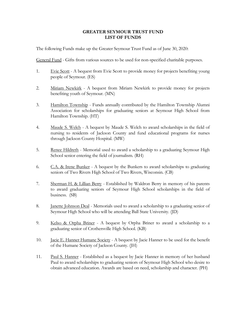### **GREATER SEYMOUR TRUST FUND LIST OF FUNDS**

The following Funds make up the Greater Seymour Trust Fund as of June 30, 2020:

General Fund - Gifts from various sources to be used for non-specified charitable purposes.

- 1. Evie Scott A bequest from Evie Scott to provide money for projects benefiting young people of Seymour. (ES)
- 2. Miriam Newkirk A bequest from Miriam Newkirk to provide money for projects benefiting youth of Seymour. (MN)
- 3. Hamilton Township Funds annually contributed by the Hamilton Township Alumni Association for scholarships for graduating seniors at Seymour High School from Hamilton Township. (HT)
- 4. Maude S. Welch A bequest by Maude S. Welch to award scholarships in the field of nursing to residents of Jackson County and fund educational programs for nurses through Jackson County Hospital. (MW)
- 5. Renee Hildreth Memorial used to award a scholarship to a graduating Seymour High School senior entering the field of journalism. (RH)
- 6.  $C.A.$  & Irene Bunker A bequest by the Bunkers to award scholarships to graduating seniors of Two Rivers High School of Two Rivers, Wisconsin. (CB)
- 7. Sherman H. & Lillian Berry Established by Waldron Berry in memory of his parents to award graduating seniors of Seymour High School scholarships in the field of business. (SB)
- 8. Janette Johnson Deal Memorials used to award a scholarship to a graduating senior of Seymour High School who will be attending Ball State University. (JD)
- 9. Kelso & Orpha Briner A bequest by Orpha Briner to award a scholarship to a graduating senior of Crothersville High School. (KB)
- 10. Jacie E. Hanner Humane Society A bequest by Jacie Hanner to be used for the benefit of the Humane Society of Jackson County. (JH)
- 11. Paul S. Hanner Established as a bequest by Jacie Hanner in memory of her husband Paul to award scholarships to graduating seniors of Seymour High School who desire to obtain advanced education. Awards are based on need, scholarship and character. (PH)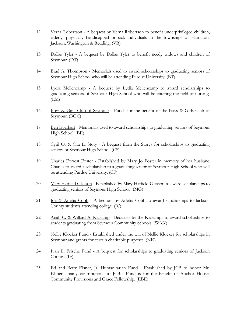- 12. Verna Robertson A bequest by Verna Robertson to benefit underprivileged children, elderly, physically handicapped or sick individuals in the townships of Hamilton, Jackson, Washington & Redding. (VR)
- 13. Dallas Tyler A bequest by Dallas Tyler to benefit needy widows and children of Seymour. (DT)
- 14. Brad A. Thompson Memorials used to award scholarships to graduating seniors of Seymour High School who will be attending Purdue University. (BT)
- 15. Lydia Mellencamp A bequest by Lydia Mellencamp to award scholarships to graduating seniors of Seymour High School who will be entering the field of nursing. (LM)
- 16. Boys & Girls Club of Seymour Funds for the benefit of the Boys & Girls Club of Seymour. (BGC)
- 17. Ben Everhart Memorials used to award scholarships to graduating seniors of Seymour High School. (BE)
- 18. Cyril O. & Ora E. Story A bequest from the Storys for scholarships to graduating seniors of Seymour High School. (CS)
- 19. Charles Forrest Foster Established by Mary Jo Foster in memory of her husband Charles to award a scholarship to a graduating senior of Seymour High School who will be attending Purdue University. (CF)
- 20. Mary Hatfield Glasson Established by Mary Hatfield Glasson to award scholarships to graduating seniors of Seymour High School. (MG)
- 21. **Joe & Arletta Cobb** A bequest by Arletta Cobb to award scholarships to Jackson County students attending college. (JC)
- 22. Anah C. & Willard A. Klakamp Bequests by the Klakamps to award scholarships to students graduating from Seymour Community Schools. (WAK)
- 23. Nellie Kloeker Fund Established under the will of Nellie Kloeker for scholarships in Seymour and grants for certain charitable purposes. (NK)
- 24. Ivan E. Frische Fund A bequest for scholarships to graduating seniors of Jackson County. (IF)
- 25. Ed and Betty Elsner, Jr. Humanitarian Fund Established by JCB to honor Mr. Elsner's many contributions to JCB. Fund is for the benefit of Anchor House, Community Provisions and Grace Fellowship. (EBE)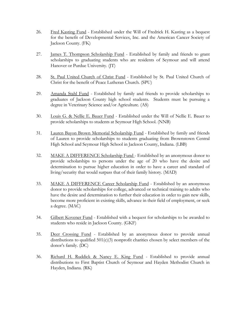- 26. Fred Kasting Fund Established under the Will of Fredrick H. Kasting as a bequest for the benefit of Developmental Services, Inc. and the American Cancer Society of Jackson County. (FK)
- 27. James T. Thompson Scholarship Fund Established by family and friends to grant scholarships to graduating students who are residents of Seymour and will attend Hanover or Purdue University. (JT)
- 28. St. Paul United Church of Christ Fund Established by St. Paul United Church of Christ for the benefit of Peace Lutheran Church. (SPU)
- 29. Amanda Stahl Fund Established by family and friends to provide scholarships to graduates of Jackson County high school students. Students must be pursuing a degree in Veterinary Science and/or Agriculture. (AS)
- 30. Louis G. & Nellie E. Bauer Fund Established under the Will of Nellie E. Bauer to provide scholarships to students at Seymour High School. (NNB)
- 31. Lauren Bayon Brown Memorial Scholarship Fund Established by family and friends of Lauren to provide scholarships to students graduating from Brownstown Central High School and Seymour High School in Jackson County, Indiana. (LBB)
- 32. MAKE A DIFFERENCE Scholarship Fund Established by an anonymous donor to provide scholarships to persons under the age of 20 who have the desire and determination to pursue higher education in order to have a career and standard of living/security that would surpass that of their family history. (MAD)
- 33. MAKE A DIFFERENCE Career Scholarship Fund Established by an anonymous donor to provide scholarships for college, advanced or technical training to adults who have the desire and determination to further their education in order to gain new skills, become more proficient in existing skills, advance in their field of employment, or seek a degree. (MAC)
- 34. Gilbert Kovener Fund Established with a bequest for scholarships to be awarded to students who reside in Jackson County. (GKF)
- 35. Deer Crossing Fund Established by an anonymous donor to provide annual distributions to qualified  $501(c)(3)$  nonprofit charities chosen by select members of the donor's family. (DC)
- 36. Richard H. Ruddick & Nancy E. King Fund Established to provide annual distributions to First Baptist Church of Seymour and Hayden Methodist Church in Hayden, Indiana. (RK)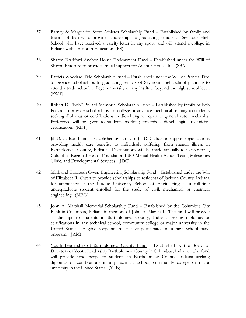- 37. Barney & Marguerite Scott Athletes Scholarship Fund Established by family and friends of Barney to provide scholarships to graduating seniors of Seymour High School who have received a varsity letter in any sport, and will attend a college in Indiana with a major in Education. (BS)
- 38. Sharon Bradford Anchor House Endowment Fund Established under the Will of Sharon Bradford to provide annual support for Anchor House, Inc. (SBA)
- 39. Patricia Woodard Tidd Scholarship Fund Established under the Will of Patricia Tidd to provide scholarships to graduating seniors of Seymour High School planning to attend a trade school, college, university or any institute beyond the high school level. (PWT)
- 40. Robert D. "Bob" Pollard Memorial Scholarship Fund Established by family of Bob Pollard to provide scholarships for college or advanced technical training to students seeking diplomas or certifications in diesel engine repair or general auto mechanics. Preference will be given to students working towards a diesel engine technician certification. (RDP)
- 41. Jill D. Carlson Fund Established by family of Jill D. Carlson to support organizations providing health care benefits to individuals suffering from mental illness in Bartholomew County, Indiana. Distributions will be made annually to Centerstone, Columbus Regional Health Foundation FBO Mental Health Action Team, Milestones Clinic, and Developmental Services. (JDC)
- 42. Mark and Elizabeth Owen Engineering Scholarship Fund Established under the Will of Elizabeth R. Owen to provide scholarships to residents of Jackson County, Indiana for attendance at the Purdue University School of Engineering as a full-time undergraduate student enrolled for the study of civil, mechanical or chemical engineering. (MEO)
- 43. John A. Marshall Memorial Scholarship Fund Established by the Columbus City Bank in Columbus, Indiana in memory of John A. Marshall. The fund will provide scholarships to students in Bartholomew County, Indiana seeking diplomas or certifications in any technical school, community college or major university in the United States. Eligible recipients must have participated in a high school band program. (JAM)
- 44. Youth Leadership of Bartholomew County Fund Established by the Board of Directors of Youth Leadership Bartholomew County in Columbus, Indiana. The fund will provide scholarships to students in Bartholomew County, Indiana seeking diplomas or certifications in any technical school, community college or major university in the United States. (YLB)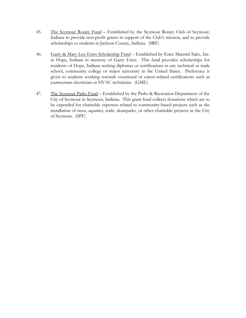- 45. The Seymour Rotary Fund Established by the Seymour Rotary Club of Seymour, Indiana to provide non-profit grants in support of the Club's mission, and to provide scholarships to students in Jackson County, Indiana. (SRF)
- 46. Garry & Mary Lou Estes Scholarship Fund Established by Estes Material Sales, Inc. in Hope, Indiana in memory of Garry Estes. This fund provides scholarships for residents of Hope, Indiana seeking diplomas or certifications in any technical or trade school, community college or major university in the United States. Preference is given to students working towards vocational or career-related certifications such as journeyman electrician or HVAC technician. (GME)
- 47. The Seymour Parks Fund Established by the Parks & Recreation Department of the City of Seymour in Seymour, Indiana. This grant fund collects donations which are to be expended for charitable expenses related to community-based projects such as the installation of trees, aquatics, trails, skateparks, or other charitable projects in the City of Seymour. (SPF)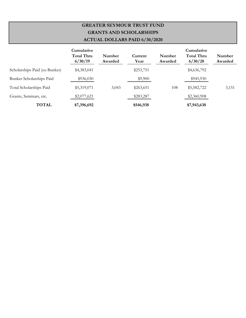## **GREATER SEYMOUR TRUST FUND GRANTS AND SCHOLARSHIPS ACTUAL DOLLARS PAID 6/30/2020**

|                               | Cumulative<br><b>Total Thru</b><br>6/30/19 | Number<br>Awarded | Current<br>Year | Number<br>Awarded | Cumulative<br><b>Total Thru</b><br>6/30/20 | Number<br>Awarded |
|-------------------------------|--------------------------------------------|-------------------|-----------------|-------------------|--------------------------------------------|-------------------|
| Scholarships Paid (ex-Bunker) | \$4,383,041                                |                   | \$253,751       |                   | \$4,636,792                                |                   |
| Bunker Scholarships Paid      | \$936,030                                  |                   | \$9,900         |                   | \$945,930                                  |                   |
| Total Scholarships Paid       | \$5,319,071                                | 3,043             | \$263,651       | 108               | \$5,582,722                                | 3,151             |
| Grants, Seminars, etc.        | \$2,077,621                                |                   | \$283,287       |                   | \$2,360,908                                |                   |
| TOTAL                         | \$7,396,692                                |                   | \$546,938       |                   | \$7,943,630                                |                   |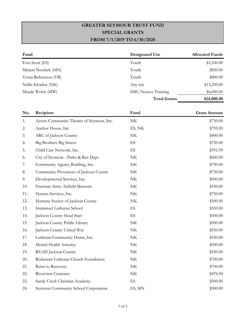# **GREATER SEYMOUR TRUST FUND SPECIAL GRANTS FROM 7/1/2019 TO 6/30/2020**

| Fund                 | Designated Use      | <b>Allocated Funds</b> |
|----------------------|---------------------|------------------------|
| Evie Scott (ES)      | Youth               | \$3,100.00             |
| Miriam Newkirk (MN)  | Youth               | \$850.00               |
| Verna Robertson (VR) | Youth               | \$800.00               |
| Nellie Kloeker (NK)  | Any use             | \$13,250.00            |
| Maude Welch (MW)     | SMC/Nurses Training | \$6,000.00             |
|                      | <b>Total Grants</b> | \$24,000.00            |

| No. | Recipient                                 | Fund                            | <b>Grant Amount</b> |
|-----|-------------------------------------------|---------------------------------|---------------------|
| 1.  | Actors Community Theater of Seymour, Inc. | $\ensuremath{\text{NK}}\xspace$ | \$750.00            |
| 2.  | Anchor House, Inc.                        | ES, NK                          | \$795.00            |
| 3.  | ARC of Jackson County                     | $\ensuremath{\text{NK}}\xspace$ | \$400.00            |
| 4.  | <b>Big Brothers Big Sisters</b>           | ES                              | \$750.00            |
| 5.  | Child Care Network, Inc.                  | $\mathop{\hbox{\rm ES}}$        | \$591.99            |
| 6.  | City of Seymour - Parks & Rec Dept.       | $\ensuremath{\text{NK}}\xspace$ | \$600.00            |
| 7.  | Community Agency Building, Inc.           | $\ensuremath{\text{NK}}\xspace$ | \$750.00            |
| 8.  | Community Provisions of Jackson County    | $\ensuremath{\text{NK}}\xspace$ | \$750.00            |
| 9.  | Developmental Services, Inc.              | $\ensuremath{\text{NK}}\xspace$ | \$500.00            |
| 10. | Freeman Army Airfield Museum              | $\ensuremath{\text{NK}}\xspace$ | \$550.00            |
| 11. | Human Services, Inc.                      | $\ensuremath{\text{NK}}\xspace$ | \$750.00            |
| 12. | Humane Society of Jackson County          | $\ensuremath{\text{NK}}\xspace$ | \$500.00            |
| 13. | Immanuel Lutheran School                  | $\mathop{\hbox{\rm ES}}$        | \$550.00            |
| 14. | Jackson County Head Start                 | ES                              | \$500.00            |
| 15. | Jackson County Public Library             | $\ensuremath{\text{NK}}\xspace$ | \$500.00            |
| 16. | Jackson County United Way                 | $\ensuremath{\text{NK}}\xspace$ | \$550.00            |
| 17. | Lutheran Community Home, Inc.             | $\ensuremath{\text{NK}}\xspace$ | \$550.00            |
| 18  | Mental Health America                     | $\ensuremath{\text{NK}}\xspace$ | \$500.00            |
| 19. | <b>READ</b> Jackson County                | $\ensuremath{\text{NK}}\xspace$ | \$550.00            |
| 20. | Redeemer Lutheran Church Foundation       | $\ensuremath{\text{NK}}\xspace$ | \$700.00            |
| 21. | Reins to Recovery                         | $\ensuremath{\text{NK}}\xspace$ | \$700.00            |
| 22. | Riverview Cemetery                        | $\ensuremath{\text{NK}}\xspace$ | \$476.94            |
| 23. | Sandy Creek Christian Academy             | $\mathop{\hbox{\rm ES}}$        | \$500.00            |
| 24. | Seymour Community School Corporation      | ES, MN                          | \$500.00            |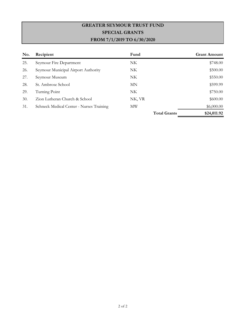# **GREATER SEYMOUR TRUST FUND SPECIAL GRANTS FROM 7/1/2019 TO 6/30/2020**

| No. | Recipient                                | Fund                | <b>Grant Amount</b> |
|-----|------------------------------------------|---------------------|---------------------|
| 25. | Seymour Fire Department                  | NK.                 | \$748.00            |
| 26. | Seymour Municipal Airport Authority      | NK                  | \$500.00            |
| 27. | Seymour Museum                           | NK.                 | \$550.00            |
| 28. | St. Ambrose School                       | MN                  | \$599.99            |
| 29. | Turning Point                            | NK.                 | \$750.00            |
| 30. | Zion Lutheran Church & School            | NK, VR              | \$600.00            |
| 31. | Schneck Medical Center - Nurses Training | МW                  | \$6,000.00          |
|     |                                          | <b>Total Grants</b> | \$24,011.92         |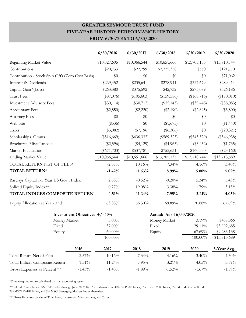### **GREATER SEYMOUR TRUST FUND FIVE-YEAR HISTORY PERFORMANCE HISTORY FROM 6/30/2016 TO 6/30/2020**

|                                                  |                               | 6/30/2016     | 6/30/2017     | 6/30/2018               | 6/30/2019     | 6/30/2020     |
|--------------------------------------------------|-------------------------------|---------------|---------------|-------------------------|---------------|---------------|
| Beginning Market Value                           |                               | \$10,827,605  | \$10,066,544  | \$10,651,666            | \$13,705,135  | \$13,710,744  |
| Contributions                                    |                               | \$20,733      | \$22,299      | \$2,775,358             | \$550         | \$121,770     |
| Contribution - Stock Spin Offs (Zero Cost Basis) |                               | \$0           | \$0           | \$0                     | \$0           | \$71,062      |
| Interest & Dividends                             |                               | \$269,452     | \$235,641     | \$278,941               | \$327,679     | \$289,414     |
| Capital Gain/(Loss)                              |                               | \$263,380     | \$375,592     | \$42,732                | \$275,089     | \$326,186     |
| <b>Trust Fees</b>                                |                               | $(\$87,076)$  | $(\$105,603)$ | $(\$159,586)$           | $(\$168,716)$ | $(\$170,010)$ |
| <b>Investment Advisory Fees</b>                  |                               | $(\$30,114)$  | $(\$30,712)$  | $(\$35,145)$            | $(\$39,448)$  | $(\$38,083)$  |
| <b>Accountant Fees</b>                           |                               | $(\$2,850)$   | $(\$2,220)$   | $(\$2,190)$             | $(\$2,895)$   | $(\$3,800)$   |
| <b>Attorney Fees</b>                             |                               | \$0           | \$0           | \$0                     | \$0           | \$0           |
| Web Site                                         |                               | (\$536)       | \$0           | (\$1,675)               | \$0           | $(\$1,440)$   |
| Taxes                                            |                               | $(\$3,082)$   | $(\$7,196)$   | $(\$6,306)$             | \$0           | $(\$20,321)$  |
| Scholarships, Grants                             |                               | $(\$516,669)$ | $(\$436,332)$ | $(\$589,325)$           | $(\$543,529)$ | $(\$546,938)$ |
| Brochures, Miscellaneous                         |                               | $(\$2,596)$   | (\$4,129)     | $(\$4,965)$             | $(\$3,452)$   | (\$1,735)     |
| Market Fluctuation                               |                               | $(\$671,703)$ | \$537,781     | \$755,631               | \$160,330     | $(\$23,160)$  |
| <b>Ending Market Value</b>                       |                               | \$10,066,544  | \$10,651,666  | \$13,705,135            | \$13,710,744  | \$13,713,689  |
| TOTAL RETURN NET OF FEES*                        |                               | $-2.57\%$     | 10.16%        | 7.34%                   | 4.16%         | 3.40%         |
| TOTAL RETURN*                                    |                               | $-1.42%$      | 11.63%        | 8.99%                   | 5.80%         | 5.02%         |
| Barclays Capital 1-5 Year US Gov't Index         |                               | 2.63%         | $-0.52%$      | $-0.20%$                | 5.34%         | 5.43%         |
| Spliced Equity Index**                           |                               | 0.77%         | 19.08%        | 13.38%                  | 1.79%         | 3.13%         |
| TOTAL INDICES COMPOSITE RETURN                   |                               | 1.51%         | 11.24%        | 7.95%                   | 3.21%         | 4.05%         |
| Equity Allocation at Year-End                    |                               | 63.38%        | 66.30%        | 69.89%                  | 70.88%        | 67.69%        |
|                                                  | Investment Objective: +/- 10% |               |               | Actual: As of 6/30/2020 |               |               |
| Money Market                                     |                               | $3.00\%$      |               | Money Market            | 3.19%         | \$437,866     |
| Fixed                                            |                               | 37.00%        |               | Fixed                   | 29.11%        | \$3,992,685   |
| Equity                                           |                               | $60.00\%$     |               | Equity                  | 67.69%        | \$9,283,138   |
|                                                  |                               | $100.00\%$    |               |                         | $100.00\%$    | \$13,713,689  |
|                                                  | 2016                          | 2017          | 2018          | 2019                    | 2020          | 5-Year Avg.   |
| Total Return Net of Fees                         | $-2.57\%$                     | 10.16%        | 7.34%         | 4.16%                   | 3.40%         | 4.50%         |
| Total Indices Composite Return                   | 1.51%                         | 11.24%        | 7.95%         | $3.21\%$                | 4.05%         | 5.59%         |
| Gross Expenses as Percent***                     | $-1.43%$                      | $-1.43%$      | $-1.89%$      | $-1.52%$                | $-1.67\%$     | $-1.59%$      |

\*Time weighted return calculated by trust accounting system.

\*\*Spliced Equity Index: S&P 500 Index through June 30, 2009. A combination of 40% S&P 500 Index, 5% Russell 2000 Index, 5% S&P MidCap 400 Index, 7% MSCI EAFE Index, and 3% MSCI Emerging Markets Index thereafter.

\*\*\*Gross Expenses consist of Trust Fees, Investment Advisory Fees, and Taxes.